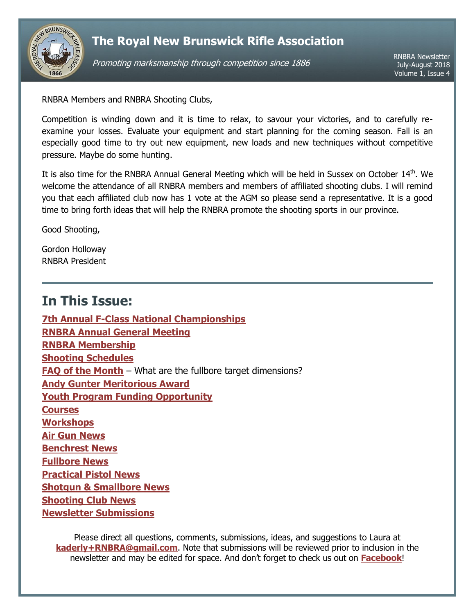

Promoting marksmanship through competition since 1886

RNBRA Newsletter July-August 2018 Volume 1, Issue 4

RNBRA Members and RNBRA Shooting Clubs,

Competition is winding down and it is time to relax, to savour your victories, and to carefully reexamine your losses. Evaluate your equipment and start planning for the coming season. Fall is an especially good time to try out new equipment, new loads and new techniques without competitive pressure. Maybe do some hunting.

It is also time for the RNBRA Annual General Meeting which will be held in Sussex on October 14<sup>th</sup>. We welcome the attendance of all RNBRA members and members of affiliated shooting clubs. I will remind you that each affiliated club now has 1 vote at the AGM so please send a representative. It is a good time to bring forth ideas that will help the RNBRA promote the shooting sports in our province.

Good Shooting,

Gordon Holloway RNBRA President

# <span id="page-0-0"></span>**In This Issue:**

**[7th Annual F-Class National Championships](#page-1-0) [RNBRA Annual General Meeting](#page-2-0) [RNBRA Membership](#page-2-1) [Shooting Schedules](#page-2-2) [FAQ of the Month](#page-2-3)** – What are the fullbore target dimensions? **[Andy Gunter Meritorious Award](#page-4-0) [Youth Program Funding Opportunity](#page-4-1) [Courses](#page-4-2) [Workshops](#page-4-3) [Air Gun](#page-5-0) News [Benchrest News](#page-5-1) [Fullbore News](#page-5-2) [Practical Pistol](#page-6-0) News Shotgun & [Smallbore](#page-6-1) News [Shooting Club News](#page-7-0) [Newsletter Submissions](#page-7-1)**

Please direct all questions, comments, submissions, ideas, and suggestions to Laura at **[kaderly+RNBRA@gmail.com](mailto:kaderly+RNBRA@gmail.com?subject=RNBRA%20Newsletter)**. Note that submissions will be reviewed prior to inclusion in the newsletter and may be edited for space. And don't forget to check us out on **[Facebook](http://www.facebook.com/RNBRA)**!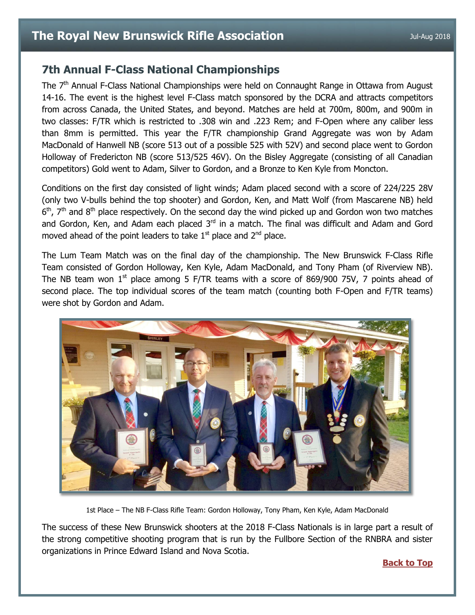### <span id="page-1-0"></span>**7th Annual F-Class National Championships**

The 7<sup>th</sup> Annual F-Class National Championships were held on Connaught Range in Ottawa from August 14-16. The event is the highest level F-Class match sponsored by the DCRA and attracts competitors from across Canada, the United States, and beyond. Matches are held at 700m, 800m, and 900m in two classes: F/TR which is restricted to .308 win and .223 Rem; and F-Open where any caliber less than 8mm is permitted. This year the F/TR championship Grand Aggregate was won by Adam MacDonald of Hanwell NB (score 513 out of a possible 525 with 52V) and second place went to Gordon Holloway of Fredericton NB (score 513/525 46V). On the Bisley Aggregate (consisting of all Canadian competitors) Gold went to Adam, Silver to Gordon, and a Bronze to Ken Kyle from Moncton.

Conditions on the first day consisted of light winds; Adam placed second with a score of 224/225 28V (only two V-bulls behind the top shooter) and Gordon, Ken, and Matt Wolf (from Mascarene NB) held  $6<sup>th</sup>$ ,  $7<sup>th</sup>$  and  $8<sup>th</sup>$  place respectively. On the second day the wind picked up and Gordon won two matches and Gordon, Ken, and Adam each placed 3<sup>rd</sup> in a match. The final was difficult and Adam and Gord moved ahead of the point leaders to take  $1<sup>st</sup>$  place and  $2<sup>nd</sup>$  place.

The Lum Team Match was on the final day of the championship. The New Brunswick F-Class Rifle Team consisted of Gordon Holloway, Ken Kyle, Adam MacDonald, and Tony Pham (of Riverview NB). The NB team won  $1<sup>st</sup>$  place among 5 F/TR teams with a score of 869/900 75V, 7 points ahead of second place. The top individual scores of the team match (counting both F-Open and F/TR teams) were shot by Gordon and Adam.



1st Place – The NB F-Class Rifle Team: Gordon Holloway, Tony Pham, Ken Kyle, Adam MacDonald

The success of these New Brunswick shooters at the 2018 F-Class Nationals is in large part a result of the strong competitive shooting program that is run by the Fullbore Section of the RNBRA and sister organizations in Prince Edward Island and Nova Scotia.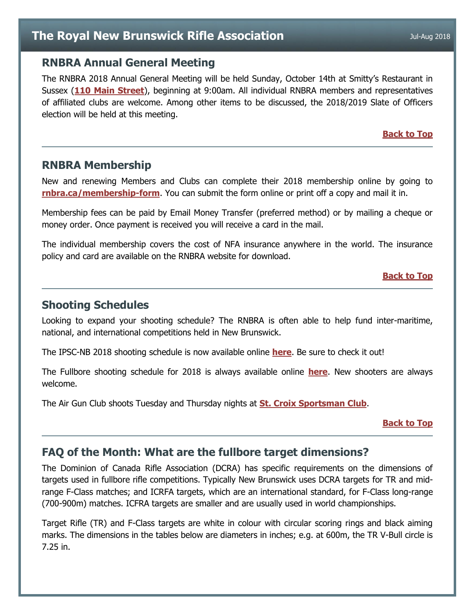### <span id="page-2-0"></span>**RNBRA Annual General Meeting**

The RNBRA 2018 Annual General Meeting will be held Sunday, October 14th at Smitty's Restaurant in Sussex (**[110 Main Street](https://www.google.com/maps/place/Smitty)**), beginning at 9:00am. All individual RNBRA members and representatives of affiliated clubs are welcome. Among other items to be discussed, the 2018/2019 Slate of Officers election will be held at this meeting.

**[Back to Top](#page-0-0)**

### <span id="page-2-1"></span>**RNBRA Membership**

New and renewing Members and Clubs can complete their 2018 membership online by going to **[rnbra.ca/membership-form](http://rnbra.ca/membership-form/)**. You can submit the form online or print off a copy and mail it in.

Membership fees can be paid by Email Money Transfer (preferred method) or by mailing a cheque or money order. Once payment is received you will receive a card in the mail.

The individual membership covers the cost of NFA insurance anywhere in the world. The insurance policy and card are available on the RNBRA website for download.

#### **[Back to Top](#page-0-0)**

### <span id="page-2-2"></span>**Shooting Schedules**

Looking to expand your shooting schedule? The RNBRA is often able to help fund inter-maritime, national, and international competitions held in New Brunswick.

The IPSC-NB 2018 shooting schedule is now available online **[here](http://www.ipscnb.ca/prod/images/formsanddocuments/2018%20IPSC%20NB%20Schedule.pdf)**. Be sure to check it out!

The Fullbore shooting schedule for 2018 is always available online **[here](https://docs.google.com/document/d/1axJu328xggVM8xT1e30vrgMw5i4zQF0P8i0i8G5yCuI/edit?usp=sharing)**. New shooters are always welcome.

The Air Gun Club shoots Tuesday and Thursday nights at **[St. Croix Sportsman Club](http://www.stcroixsportsmanclub.com/)**.

**[Back to Top](#page-0-0)**

## <span id="page-2-3"></span>**FAQ of the Month: What are the fullbore target dimensions?**

The Dominion of Canada Rifle Association (DCRA) has specific requirements on the dimensions of targets used in fullbore rifle competitions. Typically New Brunswick uses DCRA targets for TR and midrange F-Class matches; and ICRFA targets, which are an international standard, for F-Class long-range (700-900m) matches. ICFRA targets are smaller and are usually used in world championships.

Target Rifle (TR) and F-Class targets are white in colour with circular scoring rings and black aiming marks. The dimensions in the tables below are diameters in inches; e.g. at 600m, the TR V-Bull circle is 7.25 in.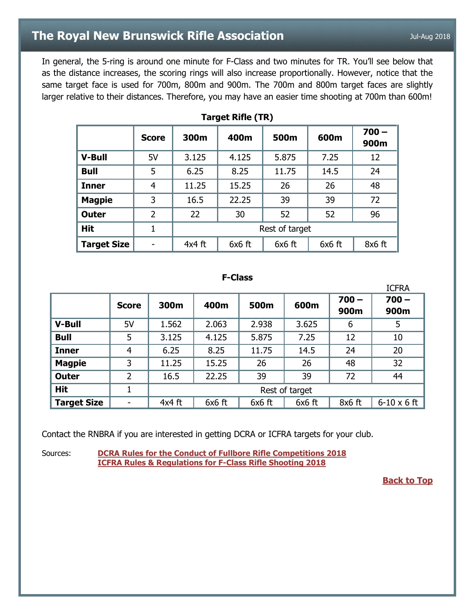In general, the 5-ring is around one minute for F-Class and two minutes for TR. You'll see below that as the distance increases, the scoring rings will also increase proportionally. However, notice that the same target face is used for 700m, 800m and 900m. The 700m and 800m target faces are slightly larger relative to their distances. Therefore, you may have an easier time shooting at 700m than 600m!

|                    | <b>Score</b> | 300m           | 400m     | 500m     | 600m     | $700 -$<br>900m |  |  |  |  |
|--------------------|--------------|----------------|----------|----------|----------|-----------------|--|--|--|--|
| <b>V-Bull</b>      | 5V           | 3.125          | 4.125    | 5.875    | 7.25     | 12              |  |  |  |  |
| <b>Bull</b>        | 5            | 6.25           | 8.25     | 11.75    | 14.5     | 24              |  |  |  |  |
| <b>Inner</b>       | 4            | 11.25          | 15.25    | 26       | 26       | 48              |  |  |  |  |
| <b>Magpie</b>      | 3            | 16.5           | 22.25    | 39       | 39       | 72              |  |  |  |  |
| <b>Outer</b>       | 2            | 22             | 30       | 52       | 52       | 96              |  |  |  |  |
| <b>Hit</b>         | 1            | Rest of target |          |          |          |                 |  |  |  |  |
| <b>Target Size</b> |              | $4x4$ ft       | $6x6$ ft | $6x6$ ft | $6x6$ ft | 8x6 ft          |  |  |  |  |

**Target Rifle (TR)**

#### **F-Class**

|                    |                |                |          |          |          |                 | <b>ICFRA</b>       |  |  |
|--------------------|----------------|----------------|----------|----------|----------|-----------------|--------------------|--|--|
|                    | <b>Score</b>   | 300m           | 400m     | 500m     | 600m     | $700 -$<br>900m | $700 -$<br>900m    |  |  |
| <b>V-Bull</b>      | 5V             | 1.562          | 2.063    | 2.938    | 3.625    | 6               | 5                  |  |  |
| <b>Bull</b>        | 5              | 3.125          | 4.125    | 5.875    | 7.25     | 12              | 10                 |  |  |
| <b>Inner</b>       | $\overline{4}$ | 6.25           | 8.25     | 11.75    | 14.5     | 24              | 20                 |  |  |
| <b>Magpie</b>      | 3              | 11.25          | 15.25    | 26       | 26       | 48              | 32                 |  |  |
| <b>Outer</b>       | 2              | 16.5           | 22.25    | 39       | 39       | 72              | 44                 |  |  |
| <b>Hit</b>         | 1              | Rest of target |          |          |          |                 |                    |  |  |
| <b>Target Size</b> |                | $4x4$ ft       | $6x6$ ft | $6x6$ ft | $6x6$ ft | $8x6$ ft        | $6-10 \times 6$ ft |  |  |

Contact the RNBRA if you are interested in getting DCRA or ICFRA targets for your club.

Sources: **[DCRA Rules for the Conduct of Fullbore Rifle Competitions 2018](http://www.dcra.ca/2018%20docs/DCRA%20Rule%20Book%202018%20%20-%20ver%202018-05-27.pdf) [ICFRA Rules & Regulations for F-Class Rifle Shooting 2018](http://www.icfra.co.uk/FC_Rules_2018_final.pdf)**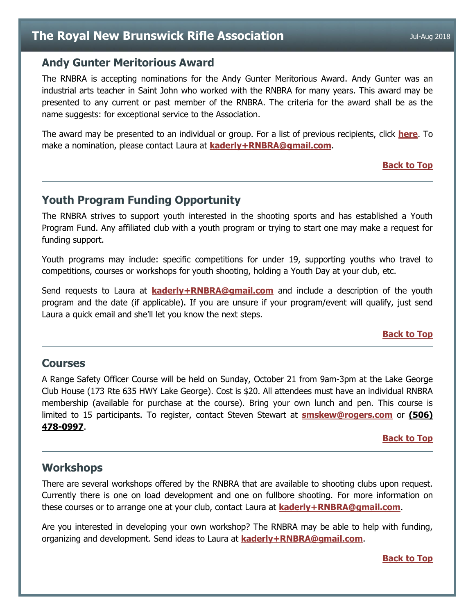### <span id="page-4-0"></span>**Andy Gunter Meritorious Award**

The RNBRA is accepting nominations for the Andy Gunter Meritorious Award. Andy Gunter was an industrial arts teacher in Saint John who worked with the RNBRA for many years. This award may be presented to any current or past member of the RNBRA. The criteria for the award shall be as the name suggests: for exceptional service to the Association.

The award may be presented to an individual or group. For a list of previous recipients, click **[here](http://rnbra.ca/about-rnbra/rnbra-trophies-and-medals-1861-to-present/)**. To make a nomination, please contact Laura at **[kaderly+RNBRA@gmail.com](mailto:kaderly+RNBRA@gmail.com?subject=Andy%20Gunter%20Meritorious%20Award)**.

#### **[Back to Top](#page-0-0)**

### <span id="page-4-1"></span>**Youth Program Funding Opportunity**

The RNBRA strives to support youth interested in the shooting sports and has established a Youth Program Fund. Any affiliated club with a youth program or trying to start one may make a request for funding support.

Youth programs may include: specific competitions for under 19, supporting youths who travel to competitions, courses or workshops for youth shooting, holding a Youth Day at your club, etc.

Send requests to Laura at **[kaderly+RNBRA@gmail.com](mailto:kaderly+RNBRA@gmail.com?subject=Youth%20Program%20Funding)** and include a description of the youth program and the date (if applicable). If you are unsure if your program/event will qualify, just send Laura a quick email and she'll let you know the next steps.

#### **[Back to Top](#page-0-0)**

### <span id="page-4-2"></span>**Courses**

A Range Safety Officer Course will be held on Sunday, October 21 from 9am-3pm at the Lake George Club House (173 Rte 635 HWY Lake George). Cost is \$20. All attendees must have an individual RNBRA membership (available for purchase at the course). Bring your own lunch and pen. This course is limited to 15 participants. To register, contact Steven Stewart at **[smskew@rogers.com](mailto:smskew@rogers.com?subject=RSO%20Course)** or **(506) 478-0997**.

#### **[Back to Top](#page-0-0)**

### <span id="page-4-3"></span>**Workshops**

There are several workshops offered by the RNBRA that are available to shooting clubs upon request. Currently there is one on load development and one on fullbore shooting. For more information on these courses or to arrange one at your club, contact Laura at **[kaderly+RNBRA@gmail.com](mailto:kaderly+RNBRA@gmail.com?subject=Newsletter-Workshop)**.

Are you interested in developing your own workshop? The RNBRA may be able to help with funding, organizing and development. Send ideas to Laura at **[kaderly+RNBRA@gmail.com](mailto:kaderly+RNBRA@gmail.com?subject=Newsletter-Workshop)**.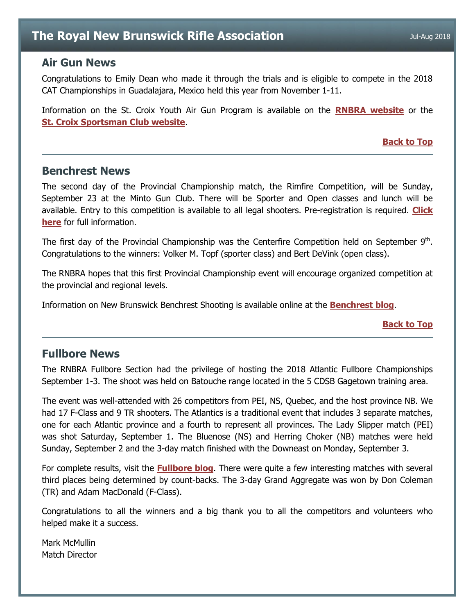### <span id="page-5-0"></span>**Air Gun News**

Congratulations to Emily Dean who made it through the trials and is eligible to compete in the 2018 CAT Championships in Guadalajara, Mexico held this year from November 1-11.

Information on the St. Croix Youth Air Gun Program is available on the **[RNBRA website](http://rnbra.ca/)** or the **[St. Croix Sportsman Club website](http://www.stcroixsportsmanclub.com/apps/blog/categories/show/1610968-youth-airgun)**.

**[Back to Top](#page-0-0)**

### <span id="page-5-1"></span>**Benchrest News**

The second day of the Provincial Championship match, the Rimfire Competition, will be Sunday, September 23 at the Minto Gun Club. There will be Sporter and Open classes and lunch will be available. Entry to this competition is available to all legal shooters. Pre-registration is required. **[Click](https://docs.google.com/document/d/1J-AjknyG5moRMxM94FDFySgkQpyh8gvwpASOPKEerxo/edit?usp=sharing)  [here](https://docs.google.com/document/d/1J-AjknyG5moRMxM94FDFySgkQpyh8gvwpASOPKEerxo/edit?usp=sharing)** for full information.

The first day of the Provincial Championship was the Centerfire Competition held on September  $9<sup>th</sup>$ . Congratulations to the winners: Volker M. Topf (sporter class) and Bert DeVink (open class).

The RNBRA hopes that this first Provincial Championship event will encourage organized competition at the provincial and regional levels.

Information on New Brunswick Benchrest Shooting is available online at the **[Benchrest blog](http://newbrunswick-benchrest.blogspot.ca/)**.

**[Back to Top](#page-0-0)**

### <span id="page-5-2"></span>**Fullbore News**

The RNBRA Fullbore Section had the privilege of hosting the 2018 Atlantic Fullbore Championships September 1-3. The shoot was held on Batouche range located in the 5 CDSB Gagetown training area.

The event was well-attended with 26 competitors from PEI, NS, Quebec, and the host province NB. We had 17 F-Class and 9 TR shooters. The Atlantics is a traditional event that includes 3 separate matches, one for each Atlantic province and a fourth to represent all provinces. The Lady Slipper match (PEI) was shot Saturday, September 1. The Bluenose (NS) and Herring Choker (NB) matches were held Sunday, September 2 and the 3-day match finished with the Downeast on Monday, September 3.

For complete results, visit the **[Fullbore blog](http://rnbrafullbore.blogspot.ca/)**. There were quite a few interesting matches with several third places being determined by count-backs. The 3-day Grand Aggregate was won by Don Coleman (TR) and Adam MacDonald (F-Class).

Congratulations to all the winners and a big thank you to all the competitors and volunteers who helped make it a success.

Mark McMullin Match Director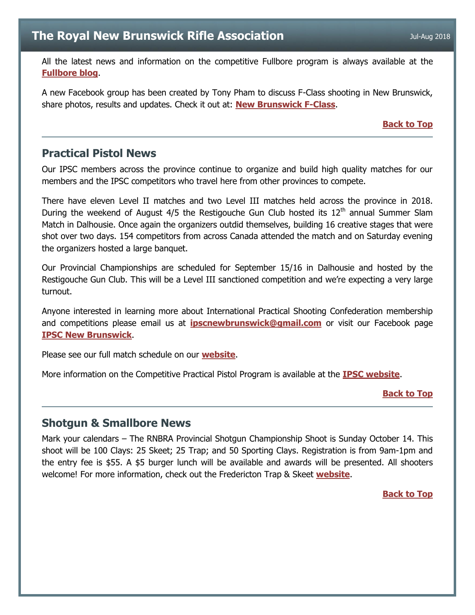All the latest news and information on the competitive Fullbore program is always available at the **[Fullbore blog](http://rnbrafullbore.blogspot.ca/)**.

A new Facebook group has been created by Tony Pham to discuss F-Class shooting in New Brunswick, share photos, results and updates. Check it out at: **[New Brunswick F-Class](https://www.facebook.com/groups/1399615920153610/)**.

#### **[Back to Top](#page-0-0)**

### <span id="page-6-0"></span>**Practical Pistol News**

Our IPSC members across the province continue to organize and build high quality matches for our members and the IPSC competitors who travel here from other provinces to compete.

There have eleven Level II matches and two Level III matches held across the province in 2018. During the weekend of August  $4/5$  the Restigouche Gun Club hosted its  $12<sup>th</sup>$  annual Summer Slam Match in Dalhousie. Once again the organizers outdid themselves, building 16 creative stages that were shot over two days. 154 competitors from across Canada attended the match and on Saturday evening the organizers hosted a large banquet.

Our Provincial Championships are scheduled for September 15/16 in Dalhousie and hosted by the Restigouche Gun Club. This will be a Level III sanctioned competition and we're expecting a very large turnout.

Anyone interested in learning more about International Practical Shooting Confederation membership and competitions please email us at **[ipscnewbrunswick@gmail.com](mailto:ipscnewbrunswick@gmail.com)** or visit our Facebook page **[IPSC New Brunswick](https://www.facebook.com/IpscNewBrunswick/)**.

Please see our full match schedule on our **[website](http://www.ipscnb.ca/prod/images/formsanddocuments/2018%20IPSC%20NB%20Schedule.pdf)**.

More information on the Competitive Practical Pistol Program is available at the **[IPSC website](http://www.ipscnb.ca/)**.

#### **[Back to Top](#page-0-0)**

### <span id="page-6-1"></span>**Shotgun & Smallbore News**

Mark your calendars – The RNBRA Provincial Shotgun Championship Shoot is Sunday October 14. This shoot will be 100 Clays: 25 Skeet; 25 Trap; and 50 Sporting Clays. Registration is from 9am-1pm and the entry fee is \$55. A \$5 burger lunch will be available and awards will be presented. All shooters welcome! For more information, check out the Fredericton Trap & Skeet **[website](http://www.ft-sc.com/index.html)**.